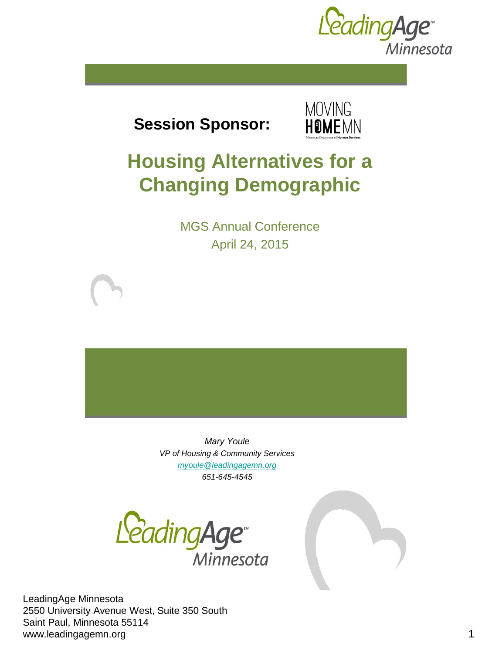

**Session Sponsor:** 



# **Housing Alternatives for a Changing Demographic**

MGS Annual Conference April 24, 2015

*Mary Youle VP of Housing & Community Services [myoule@leadingagemn.org](mailto:myoule@leadingagemn.org) 651-645-4545*



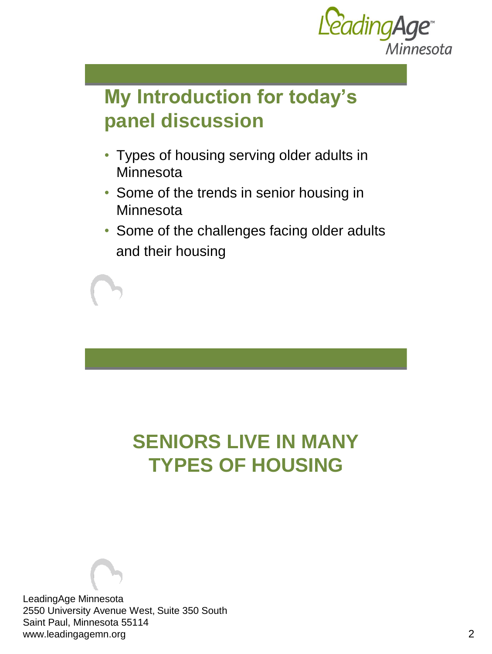

## **My Introduction for today's panel discussion**

- Types of housing serving older adults in Minnesota
- Some of the trends in senior housing in **Minnesota**
- Some of the challenges facing older adults and their housing

# **SENIORS LIVE IN MANY TYPES OF HOUSING**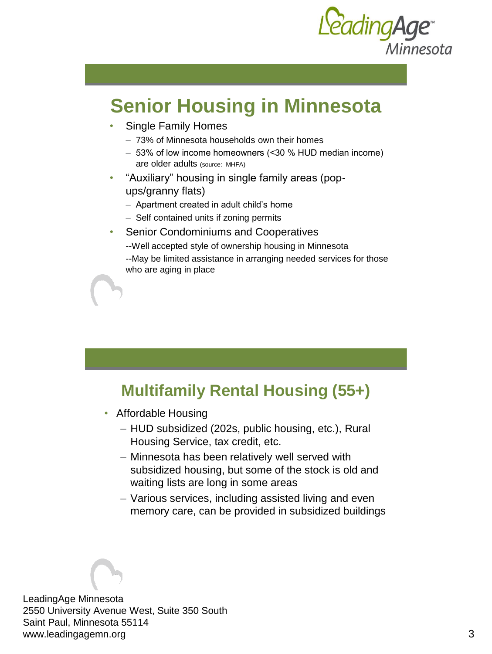

## **Senior Housing in Minnesota**

• Single Family Homes

who are aging in place

- 73% of Minnesota households own their homes
- 53% of low income homeowners (˂30 % HUD median income) are older adults (source: MHFA)
- "Auxiliary" housing in single family areas (popups/granny flats)
	- Apartment created in adult child's home
	- Self contained units if zoning permits
- Senior Condominiums and Cooperatives --Well accepted style of ownership housing in Minnesota --May be limited assistance in arranging needed services for those

### **Multifamily Rental Housing (55+)**

- Affordable Housing
	- HUD subsidized (202s, public housing, etc.), Rural Housing Service, tax credit, etc.
	- Minnesota has been relatively well served with subsidized housing, but some of the stock is old and waiting lists are long in some areas
	- Various services, including assisted living and even memory care, can be provided in subsidized buildings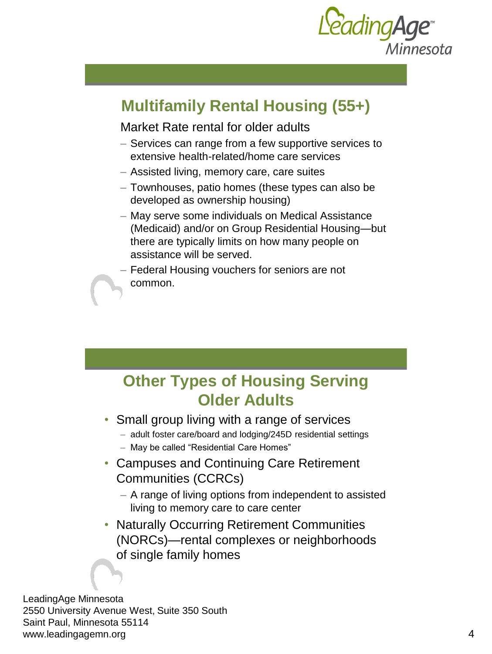

### **Multifamily Rental Housing (55+)**

#### Market Rate rental for older adults

- Services can range from a few supportive services to extensive health-related/home care services
- Assisted living, memory care, care suites
- Townhouses, patio homes (these types can also be developed as ownership housing)
- May serve some individuals on Medical Assistance (Medicaid) and/or on Group Residential Housing—but there are typically limits on how many people on assistance will be served.
- Federal Housing vouchers for seniors are not common.

### **Other Types of Housing Serving Older Adults**

- Small group living with a range of services
	- adult foster care/board and lodging/245D residential settings
	- May be called "Residential Care Homes"
- Campuses and Continuing Care Retirement Communities (CCRCs)
	- A range of living options from independent to assisted living to memory care to care center
- Naturally Occurring Retirement Communities (NORCs)—rental complexes or neighborhoods of single family homes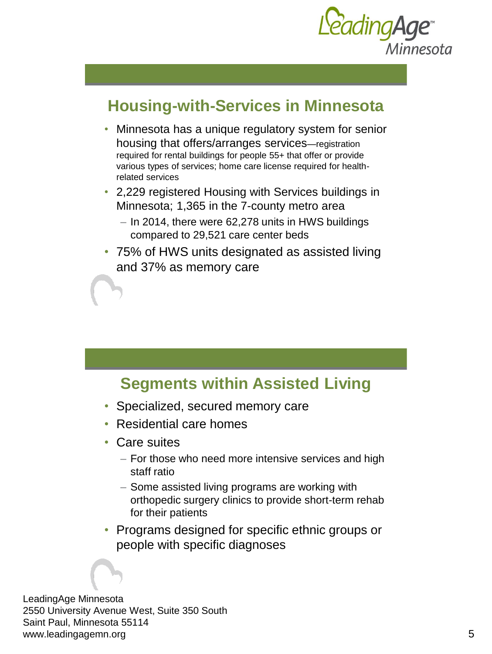

### **Housing-with-Services in Minnesota**

- Minnesota has a unique regulatory system for senior housing that offers/arranges services—registration required for rental buildings for people 55+ that offer or provide various types of services; home care license required for healthrelated services
- 2,229 registered Housing with Services buildings in Minnesota; 1,365 in the 7-county metro area
	- In 2014, there were 62,278 units in HWS buildings compared to 29,521 care center beds
- 75% of HWS units designated as assisted living and 37% as memory care

### **Segments within Assisted Living**

- Specialized, secured memory care
- Residential care homes
- Care suites
	- For those who need more intensive services and high staff ratio
	- Some assisted living programs are working with orthopedic surgery clinics to provide short-term rehab for their patients
- Programs designed for specific ethnic groups or people with specific diagnoses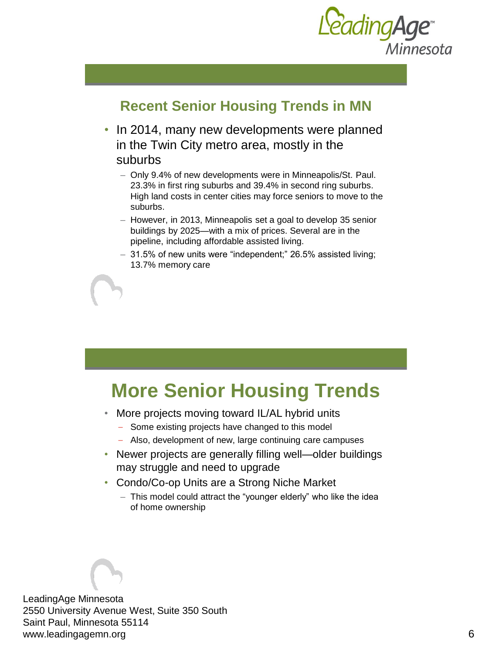

#### **Recent Senior Housing Trends in MN**

- In 2014, many new developments were planned in the Twin City metro area, mostly in the suburbs
	- Only 9.4% of new developments were in Minneapolis/St. Paul. 23.3% in first ring suburbs and 39.4% in second ring suburbs. High land costs in center cities may force seniors to move to the suburbs.
	- However, in 2013, Minneapolis set a goal to develop 35 senior buildings by 2025—with a mix of prices. Several are in the pipeline, including affordable assisted living.
	- 31.5% of new units were "independent;" 26.5% assisted living; 13.7% memory care

### **More Senior Housing Trends**

- More projects moving toward IL/AL hybrid units
	- Some existing projects have changed to this model
	- Also, development of new, large continuing care campuses
- Newer projects are generally filling well—older buildings may struggle and need to upgrade
- Condo/Co-op Units are a Strong Niche Market
	- This model could attract the "younger elderly" who like the idea of home ownership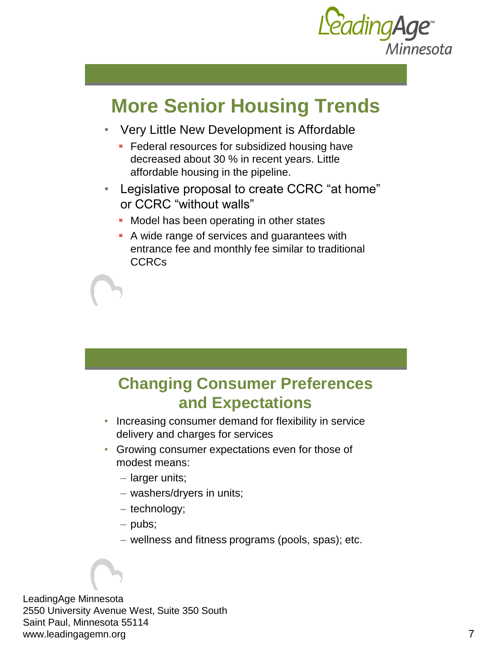

## **More Senior Housing Trends**

- Very Little New Development is Affordable
	- **Federal resources for subsidized housing have** decreased about 30 % in recent years. Little affordable housing in the pipeline.
- Legislative proposal to create CCRC "at home" or CCRC "without walls"
	- **Model has been operating in other states**
	- A wide range of services and guarantees with entrance fee and monthly fee similar to traditional CCRCs

### **Changing Consumer Preferences and Expectations**

- Increasing consumer demand for flexibility in service delivery and charges for services
- Growing consumer expectations even for those of modest means:
	- larger units;
	- washers/dryers in units;
	- technology;
	- pubs;
	- wellness and fitness programs (pools, spas); etc.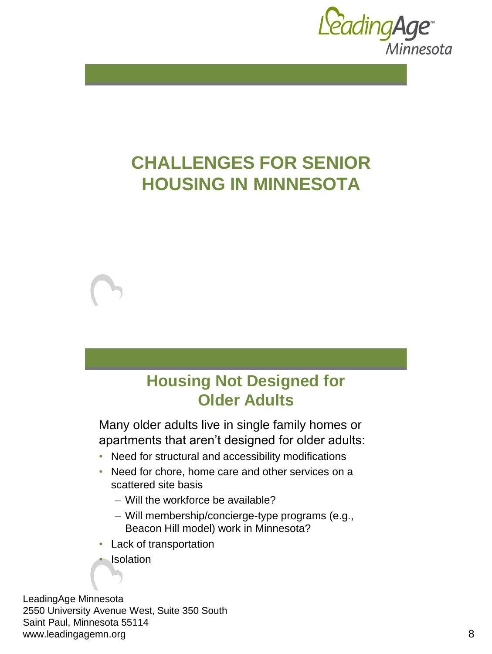

## **CHALLENGES FOR SENIOR HOUSING IN MINNESOTA**

### **Housing Not Designed for Older Adults**

Many older adults live in single family homes or apartments that aren't designed for older adults:

- Need for structural and accessibility modifications
- Need for chore, home care and other services on a scattered site basis
	- Will the workforce be available?
	- Will membership/concierge-type programs (e.g., Beacon Hill model) work in Minnesota?
- Lack of transportation

**Isolation**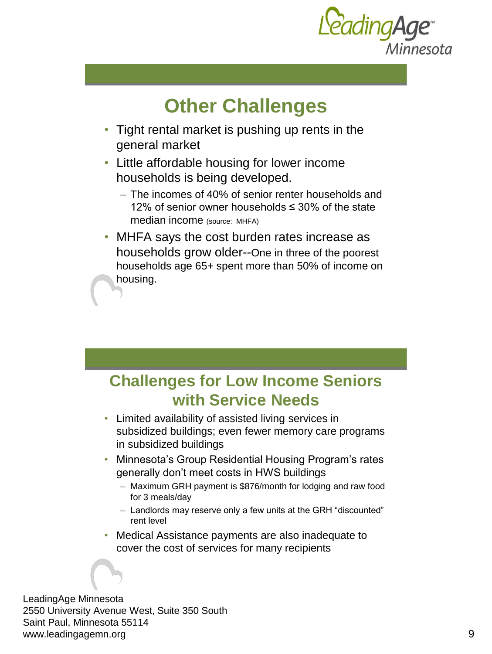

## **Other Challenges**

- Tight rental market is pushing up rents in the general market
- Little affordable housing for lower income households is being developed.
	- The incomes of 40% of senior renter households and 12% of senior owner households ≤ 30% of the state median income (source: MHFA)
- MHFA says the cost burden rates increase as households grow older--One in three of the poorest households age 65+ spent more than 50% of income on housing.

### **Challenges for Low Income Seniors with Service Needs**

- Limited availability of assisted living services in subsidized buildings; even fewer memory care programs in subsidized buildings
- Minnesota's Group Residential Housing Program's rates generally don't meet costs in HWS buildings
	- Maximum GRH payment is \$876/month for lodging and raw food for 3 meals/day
	- Landlords may reserve only a few units at the GRH "discounted" rent level
- Medical Assistance payments are also inadequate to cover the cost of services for many recipients